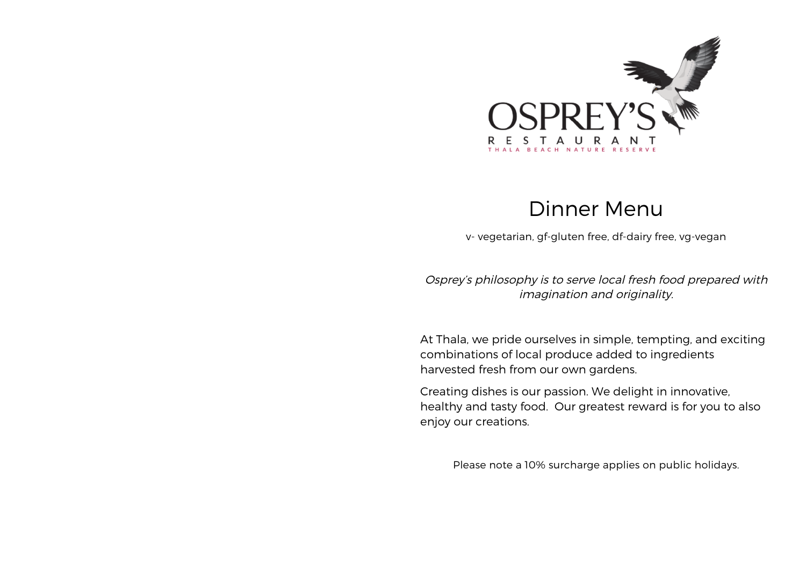

## Dinner Menu

v- vegetarian, gf-gluten free, df-dairy free, vg-vegan

Osprey's philosophy is to serve local fresh food prepared with imagination and originality.

At Thala, we pride ourselves in simple, tempting, and exciting combinations of local produce added to ingredients harvested fresh from our own gardens.

Creating dishes is our passion. We delight in innovative, healthy and tasty food. Our greatest reward is for you to also enjoy our creations.

Please note a 10% surcharge applies on public holidays.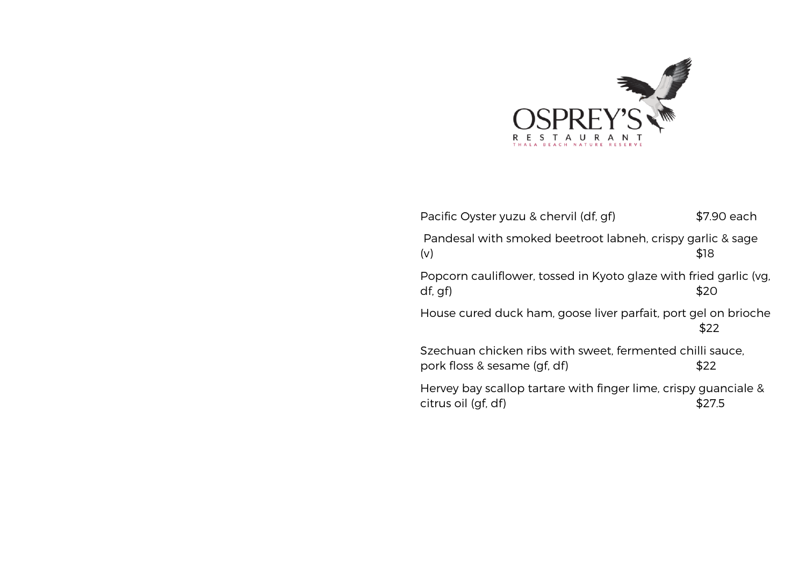

| Pacific Oyster yuzu & chervil (df, gf)                                                    | \$7.90 each |
|-------------------------------------------------------------------------------------------|-------------|
| Pandesal with smoked beetroot labneh, crispy garlic & sage<br>(v)                         | \$18        |
| Popcorn cauliflower, tossed in Kyoto glaze with fried garlic (vg,<br>df, gf)              | \$20        |
| House cured duck ham, goose liver parfait, port gel on brioche                            | \$22        |
| Szechuan chicken ribs with sweet, fermented chilli sauce,<br>pork floss & sesame (gf, df) | \$22        |
| Hervey bay scallop tartare with finger lime, crispy guanciale &<br>citrus oil (gf, df)    | S27.5       |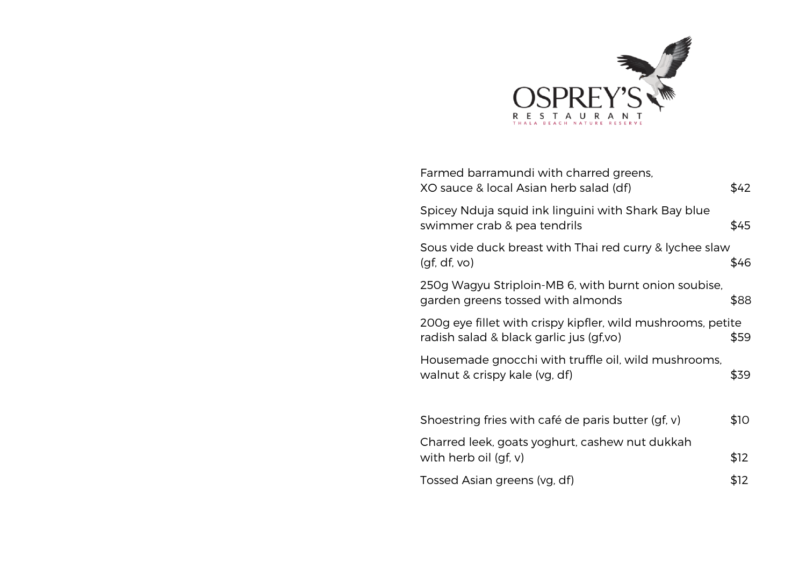

| Farmed barramundi with charred greens,<br>XO sauce & local Asian herb salad (df)                       | \$42 |
|--------------------------------------------------------------------------------------------------------|------|
| Spicey Nduja squid ink linguini with Shark Bay blue<br>swimmer crab & pea tendrils                     | \$45 |
| Sous vide duck breast with Thai red curry & lychee slaw<br>(gf, df, vo)                                | \$46 |
| 250g Wagyu Striploin-MB 6, with burnt onion soubise,<br>garden greens tossed with almonds              | \$88 |
| 200g eye fillet with crispy kipfler, wild mushrooms, petite<br>radish salad & black garlic jus (gf,vo) | \$59 |
| Housemade gnocchi with truffle oil, wild mushrooms,<br>walnut & crispy kale (vg, df)                   | \$39 |
| Shoestring fries with café de paris butter (gf, v)                                                     | \$10 |
| Charred leek, goats yoghurt, cashew nut dukkah<br>with herb oil $(gf, v)$                              | \$12 |
| Tossed Asian greens (vg, df)                                                                           | \$12 |